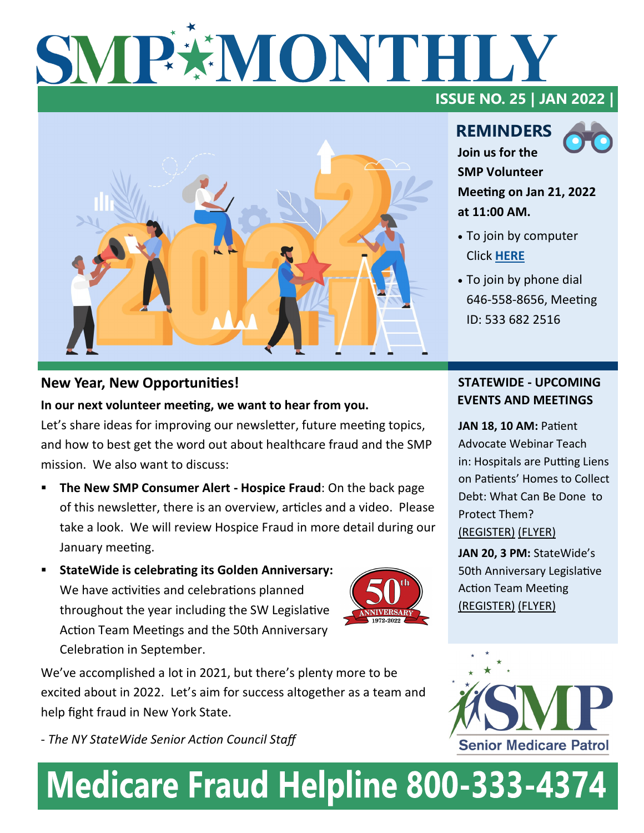# SMPXMONTHL



#### **New Year, New Opportunities!**

**In our next volunteer meeting, we want to hear from you.**  Let's share ideas for improving our newsletter, future meeting topics, and how to best get the word out about healthcare fraud and the SMP mission. We also want to discuss:

- **The New SMP Consumer Alert Hospice Fraud: On the back page** of this newsletter, there is an overview, articles and a video. Please take a look. We will review Hospice Fraud in more detail during our January meeting.
- **StateWide is celebrating its Golden Anniversary:** We have activities and celebrations planned throughout the year including the SW Legislative Action Team Meetings and the 50th Anniversary Celebration in September.

We've accomplished a lot in 2021, but there's plenty more to be excited about in 2022. Let's aim for success altogether as a team and help fight fraud in New York State.

- *The NY StateWide Senior Action Council Staff*

**ISSUE NO. 25 | JAN 2022 |** 

### **REMINDERS Join us for the**



**SMP Volunteer Meeting on Jan 21, 2022 at 11:00 AM.** 

- To join by computer Click **[HERE](https://us02web.zoom.us/j/5336822516)**
- To join by phone dial 646-558-8656, Meeting ID: 533 682 2516

#### **STATEWIDE - UPCOMING EVENTS AND MEETINGS**

**[JAN 18, 10 AM:](https://www.nysenior.org/patients-rights-webinar-january-18-2022/) Patient** [Advocate Webinar Teach](https://www.nysenior.org/patients-rights-webinar-january-18-2022/)  in: [Hospitals are Putting Liens](https://www.nysenior.org/patients-rights-webinar-january-18-2022/)  on Patients' [Homes to Collect](https://www.nysenior.org/patients-rights-webinar-january-18-2022/)  [Debt: What Can Be Done to](https://www.nysenior.org/patients-rights-webinar-january-18-2022/)  [Protect Them?](https://www.nysenior.org/patients-rights-webinar-january-18-2022/)  [\(REGISTER\)](https://www.nysenior.org/patients-rights-webinar-january-18-2022/) [\(FLYER\)](file:///C:/Users/jakpa/OneDrive/Documents/StateWide 2022/Teach ins/Patients Advocates Telephone Teach in for JAN 18, 2022.pdf)

**[JAN 20, 3 PM:](https://www.nysenior.org/join-statewides-50th-anniversary-legislative-action-team/)** StateWide's [50th Anniversary Legislative](https://www.nysenior.org/join-statewides-50th-anniversary-legislative-action-team/)  [Action Team Meeting](https://www.nysenior.org/join-statewides-50th-anniversary-legislative-action-team/) [\(REGISTER\)](https://www.nysenior.org/join-statewides-50th-anniversary-legislative-action-team/) [\(FLYER\)](file:///C:/Users/jakpa/OneDrive/Documents/StateWide 2021/SLAT/SLAT Flyer draft5.pdf)



# **Medicare Fraud Helpline 800-333-4374**